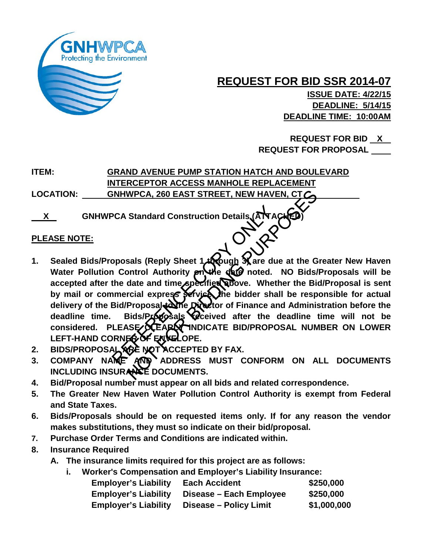

**ISSUE DATE: 4/22/15 DEADLINE: 5/14/15 DEADLINE TIME: 10:00AM**

 **REQUEST FOR BID X REQUEST FOR PROPOSAL** 

**ITEM: GRAND AVENUE PUMP STATION HATCH AND BOULEVARD INTERCEPTOR ACCESS MANHOLE REPLACEMENT LOCATION: GNHWPCA, 260 EAST STREET, NEW HAVEN, CT** 

**X** \_ GNHWPCA Standard Construction Details (AT

### **PLEASE NOTE:**

- **1. Sealed Bids/Proposals (Reply Sheet 1 through 3) are due at the Greater New Haven**  Water Pollution Control Authority **on the date noted.** NO Bids/Proposals will be **accepted after the date and time specified above. Whether the Bid/Proposal is sent**  by mail or commercial express service. The bidder shall be responsible for actual delivery of the Bid/Proposal to the Director of Finance and Administration before the deadline time. Bids/Proposals received after the deadline time will not be considered. PLEASE/**XEARLY INDICATE BID/PROPOSAL NUMBER ON LOWER** LEFT-HAND CORNER OF ENVELOPE. PCA Standard Construction Details (ANA)<br>poposals (Reply Sheet 1 though Rare du<br>n Control Authority pn the date noted.<br>the date and time specified above. Whet<br>mercial express service the bidder sha<br>Bid/Proposal to Divideor WPCA, 260 EAST STREET, NEW HAVEN, CTCC<br>Standard Construction Details (ANACHED)<br>Standard Construction Details (ANACHED)<br>Sals (Reply Sheet 1.40 Qugh Rare due at the G<br>ontrol Authority provide due noted. NO Bids/<br>date and tim
- **2. BIDS/PROPOSAL ARE NOT ACCEPTED BY FAX.**
- **3. COMPANY NAME AND ADDRESS MUST CONFORM ON ALL DOCUMENTS**  INCLUDING INSURANCE DOCUMENTS.
- **4. Bid/Proposal number must appear on all bids and related correspondence.**
- **5. The Greater New Haven Water Pollution Control Authority is exempt from Federal and State Taxes.**
- **6. Bids/Proposals should be on requested items only. If for any reason the vendor makes substitutions, they must so indicate on their bid/proposal.**
- **7. Purchase Order Terms and Conditions are indicated within.**
- **8. Insurance Required**
	- **A. The insurance limits required for this project are as follows:**
		- **i. Worker's Compensation and Employer's Liability Insurance:**

| <b>Employer's Liability</b> | <b>Each Accident</b>    | \$250,000   |
|-----------------------------|-------------------------|-------------|
| <b>Employer's Liability</b> | Disease – Each Employee | \$250,000   |
| <b>Employer's Liability</b> | Disease – Policy Limit  | \$1,000,000 |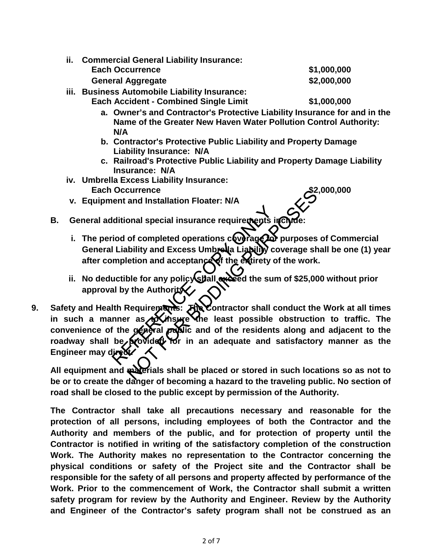- **a. Owner's and Contractor's Protective Liability Insurance for and in the Name of the Greater New Haven Water Pollution Control Authority: N/A**
- **b. Contractor's Protective Public Liability and Property Damage Liability Insurance: N/A**
- **c. Railroad's Protective Public Liability and Property Damage Liability Insurance: N/A**
- **iv. Umbrella Excess Liability Insurance: Each Occurrence \$2,000,000**
- **v. Equipment and Installation Floater: N/A**

- **B.** General additional special insurance requirements in CN
	- i. The period of completed operations coverage to purposes of Commercial General Liability and Excess Umbrella Liability coverage shall be one (1) year **after completion and acceptance of the entirety of the work.**
	- ii. No deductible for any policy shall exceed the sum of \$25,000 without prior **approval by the Authority.**
- **9.** Safety and Health Requirements:  $\vec{F}$  Contractor shall conduct the Work at all times in such a manner as *in insure* the least possible obstruction to traffic. The convenience of the general public and of the residents along and adjacent to the roadway shall be provided for in an adequate and satisfactory manner as the **Engineer may dired** Iditional special insurance requirements in<br>
iod of completed operations coverage<br>
I Liability and Excess Umbreula Liability completion and acceptance<br>
of the entirety of<br>
uctible for any policy Stall exceed the sun<br>
all b Eurrence<br>
and Installation Floater: N/A<br>
onal special insurance requirements include:<br>
of completed operations compage of purposes<br>
biblity and Excess Umbress Liability coverage sh<br>
etion and acceptance of the extirety of

All equipment and **materials shall be placed or stored in such locations so as not to be or to create the danger of becoming a hazard to the traveling public. No section of road shall be closed to the public except by permission of the Authority.**

**The Contractor shall take all precautions necessary and reasonable for the protection of all persons, including employees of both the Contractor and the Authority and members of the public, and for protection of property until the Contractor is notified in writing of the satisfactory completion of the construction Work. The Authority makes no representation to the Contractor concerning the physical conditions or safety of the Project site and the Contractor shall be responsible for the safety of all persons and property affected by performance of the Work. Prior to the commencement of Work, the Contractor shall submit a written safety program for review by the Authority and Engineer. Review by the Authority and Engineer of the Contractor's safety program shall not be construed as an**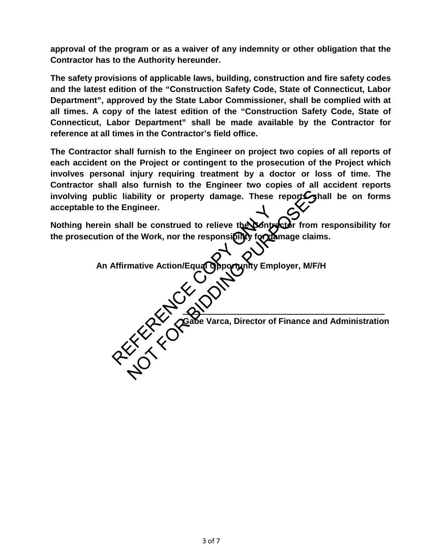**approval of the program or as a waiver of any indemnity or other obligation that the Contractor has to the Authority hereunder.**

**The safety provisions of applicable laws, building, construction and fire safety codes and the latest edition of the "Construction Safety Code, State of Connecticut, Labor Department", approved by the State Labor Commissioner, shall be complied with at all times. A copy of the latest edition of the "Construction Safety Code, State of Connecticut, Labor Department" shall be made available by the Contractor for reference at all times in the Contractor's field office.** 

**The Contractor shall furnish to the Engineer on project two copies of all reports of each accident on the Project or contingent to the prosecution of the Project which involves personal injury requiring treatment by a doctor or loss of time. The Contractor shall also furnish to the Engineer two copies of all accident reports**  involving public liability or property damage. These report **S**hall be on forms **acceptable to the Engineer.**

**Nothing herein shall be construed to relieve the Sontractor from responsibility for** the prosecution of the Work, nor the responsi**bility for damage claims.** 

**An Affirmative Action/Equal Opportunity Employer, M/F/H CAY Gabe Varca, Director of Finance and Administration** The Engineer. ability or property damage. These reports and<br>ngineer.<br>all be construed to relieve the Contractor from<br>the Work, nor the responsibility for the manage claim<br>mative Action/Equal Opportunity Employer, M/F<br>mative Action/Equal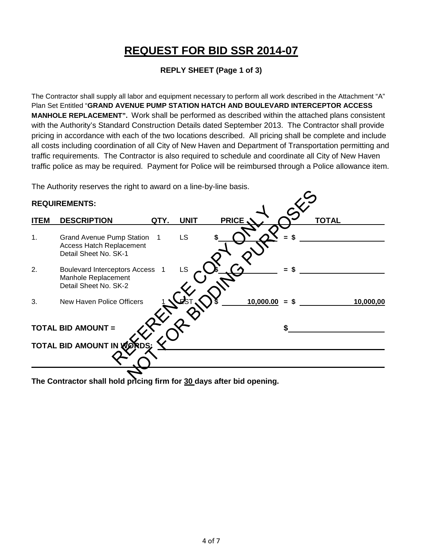### **REPLY SHEET (Page 1 of 3)**

The Contractor shall supply all labor and equipment necessary to perform all work described in the Attachment "A" Plan Set Entitled "**GRAND AVENUE PUMP STATION HATCH AND BOULEVARD INTERCEPTOR ACCESS MANHOLE REPLACEMENT".** Work shall be performed as described within the attached plans consistent with the Authority's Standard Construction Details dated September 2013. The Contractor shall provide pricing in accordance with each of the two locations described. All pricing shall be complete and include all costs including coordination of all City of New Haven and Department of Transportation permitting and traffic requirements. The Contractor is also required to schedule and coordinate all City of New Haven traffic police as may be required. Payment for Police will be reimbursed through a Police allowance item.

The Authority reserves the right to award on a line-by-line basis.

### **REQUIREMENTS: ITEM DESCRIPTION GTY. UNIT PRICE \ \ ^ \ TOTAL** 1. Grand Avenue Pump Station 1 LS Access Hatch Replacement Detail Sheet No. SK-1 2. Boulevard Interceptors Access 1 LS  $\sim$  **6.**  $\sqrt{2}$  = \$ Manhole Replacement Detail Sheet No. SK-2 3. New Haven Police Officers 1 LEST 3 10,000.00 = \$ \_\_\_\_\_\_\_\_\_\_\_\_\_\_\_\_\_\_\_\_\_\_\_\_\_\_\_\_\_ TOTAL BID AMOUNT =  $\sqrt{X}$   $\sqrt{Y}$ **TOTAL BID AMOUNT IN**  WHO Station 1 LS SOUTHOUR Station 1 LS S CONTROL - SACCES 1 LS CONTROL - SACCES 1 LS CONTROL - SACCES 1 LS CONTROL - SACCES 1 LS CONTROL - SACCES 1 LO CONTROL - SACCES 1 LO CONTROL - SACCES 1 LO CONTROL - SACCES 1 LO CONTROL - SACCES 1 LO CONTROL -

**The Contractor shall hold pricing firm for 30 days after bid opening.**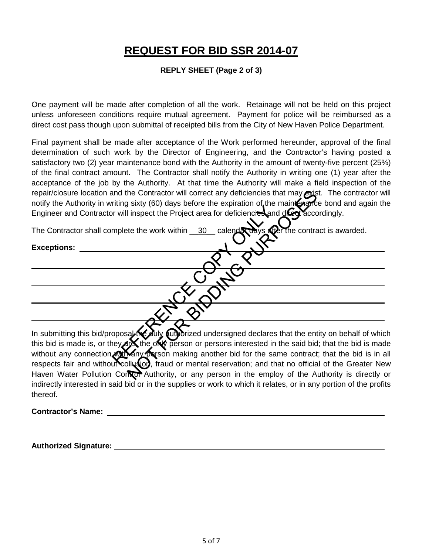#### **REPLY SHEET (Page 2 of 3)**

One payment will be made after completion of all the work. Retainage will not be held on this project unless unforeseen conditions require mutual agreement. Payment for police will be reimbursed as a direct cost pass though upon submittal of receipted bills from the City of New Haven Police Department.

Final payment shall be made after acceptance of the Work performed hereunder, approval of the final determination of such work by the Director of Engineering, and the Contractor's having posted a satisfactory two (2) year maintenance bond with the Authority in the amount of twenty-five percent (25%) of the final contract amount. The Contractor shall notify the Authority in writing one (1) year after the acceptance of the job by the Authority. At that time the Authority will make a field inspection of the repair/closure location and the Contractor will correct any deficiencies that may exist. The contractor will notify the Authority in writing sixty (60) days before the expiration of the maintenance bond and again the Engineer and Contractor will inspect the Project area for deficiencies and direct accordingly.

| repair/closure location and the Contractor will correct any deficiencies that may exist. The contractor wi<br>notify the Authority in writing sixty (60) days before the expiration of the maint enance bond and again the |
|----------------------------------------------------------------------------------------------------------------------------------------------------------------------------------------------------------------------------|
| Engineer and Contractor will inspect the Project area for deficiencies and diceptaccordingly.                                                                                                                              |
| The Contractor shall complete the work within $\_\,30\_\,$ calendary days after the contract is awarded.                                                                                                                   |
| <b>Exceptions:</b>                                                                                                                                                                                                         |
|                                                                                                                                                                                                                            |
|                                                                                                                                                                                                                            |
|                                                                                                                                                                                                                            |
|                                                                                                                                                                                                                            |
| In submitting this bid/proposal to ally authorized undersigned declares that the entity on behalf of which                                                                                                                 |
| this bid is made is, or they and the only person or persons interested in the said bid; that the bid is made                                                                                                               |
| without any connection mill on parson making another bid for the same contract; that the bid is in a                                                                                                                       |
| respects fair and without collusion, fraud or mental reservation; and that no official of the Greater Nev                                                                                                                  |
| Haven Water Pollution Contor Authority, or any person in the employ of the Authority is directly of                                                                                                                        |

In submitting this bid/proposal the duly authorized undersigned declares that the entity on behalf of which this bid is made is, or they are, the only person or persons interested in the said bid; that the bid is made without any connection with any person making another bid for the same contract; that the bid is in all respects fair and without collusion, fraud or mental reservation; and that no official of the Greater New Haven Water Pollution Control Authority, or any person in the employ of the Authority is directly or indirectly interested in said bid or in the supplies or work to which it relates, or in any portion of the profits thereof.

#### **Contractor's Name:**

#### **Authorized Signature:**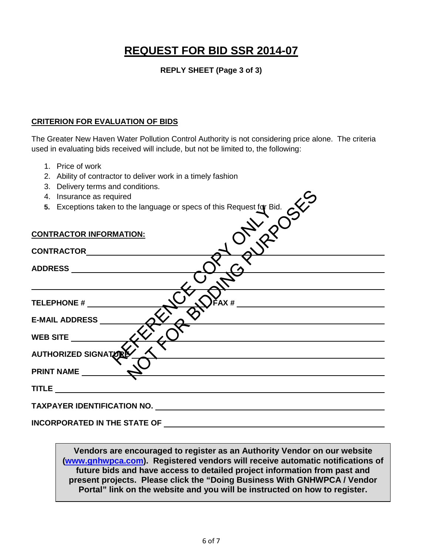**REPLY SHEET (Page 3 of 3)** 

#### **CRITERION FOR EVALUATION OF BIDS**

The Greater New Haven Water Pollution Control Authority is not considering price alone. The criteria used in evaluating bids received will include, but not be limited to, the following:

- 1. Price of work
- 2. Ability of contractor to deliver work in a timely fashion
- 3. Delivery terms and conditions.
- 4. Insurance as required
- 

| 4. Insurance as required                                                                                                                                                                                                       |  |  |
|--------------------------------------------------------------------------------------------------------------------------------------------------------------------------------------------------------------------------------|--|--|
| 5. Exceptions taken to the language or specs of this Request for Bid.                                                                                                                                                          |  |  |
|                                                                                                                                                                                                                                |  |  |
|                                                                                                                                                                                                                                |  |  |
| <b>CONTRACTOR INFORMATION:</b>                                                                                                                                                                                                 |  |  |
|                                                                                                                                                                                                                                |  |  |
|                                                                                                                                                                                                                                |  |  |
|                                                                                                                                                                                                                                |  |  |
|                                                                                                                                                                                                                                |  |  |
|                                                                                                                                                                                                                                |  |  |
|                                                                                                                                                                                                                                |  |  |
|                                                                                                                                                                                                                                |  |  |
| $^2AX#$<br>TELEPHONE # ________                                                                                                                                                                                                |  |  |
|                                                                                                                                                                                                                                |  |  |
| <b>E-MAIL ADDRESS</b>                                                                                                                                                                                                          |  |  |
| WEB SITE                                                                                                                                                                                                                       |  |  |
|                                                                                                                                                                                                                                |  |  |
| AUTHORIZED SIGNATIONS                                                                                                                                                                                                          |  |  |
|                                                                                                                                                                                                                                |  |  |
| PRINT NAME                                                                                                                                                                                                                     |  |  |
|                                                                                                                                                                                                                                |  |  |
| <b>TITLE</b>                                                                                                                                                                                                                   |  |  |
|                                                                                                                                                                                                                                |  |  |
| TAXPAYER IDENTIFICATION NO. Under the material contract of the state of the state of the state of the state of the state of the state of the state of the state of the state of the state of the state of the state of the sta |  |  |
|                                                                                                                                                                                                                                |  |  |
| <b>INCORPORATED IN THE STATE OF</b>                                                                                                                                                                                            |  |  |

**Vendors are encouraged to register as an Authority Vendor on our website [\(www.gnhwpca.com\)](http://www.gnhwpca.com/). Registered vendors will receive automatic notifications of future bids and have access to detailed project information from past and present projects. Please click the "Doing Business With GNHWPCA / Vendor Portal" link on the website and you will be instructed on how to register.**